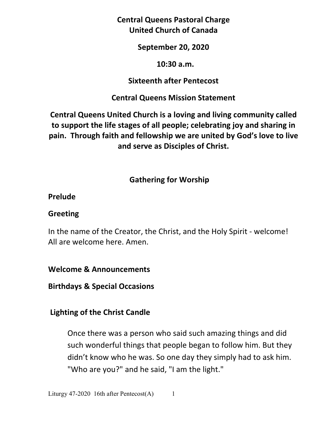**Central Queens Pastoral Charge United Church of Canada** 

**September 20, 2020** 

#### **10:30 a.m.**

### **Sixteenth after Pentecost**

## **Central Queens Mission Statement**

**Central Queens United Church is a loving and living community called to support the life stages of all people; celebrating joy and sharing in pain. Through faith and fellowship we are united by God's love to live and serve as Disciples of Christ.**

# **Gathering for Worship**

#### **Prelude**

## **Greeting**

In the name of the Creator, the Christ, and the Holy Spirit - welcome! All are welcome here. Amen.

**Welcome & Announcements** 

**Birthdays & Special Occasions** 

# **Lighting of the Christ Candle**

Once there was a person who said such amazing things and did such wonderful things that people began to follow him. But they didn't know who he was. So one day they simply had to ask him. "Who are you?" and he said, "I am the light."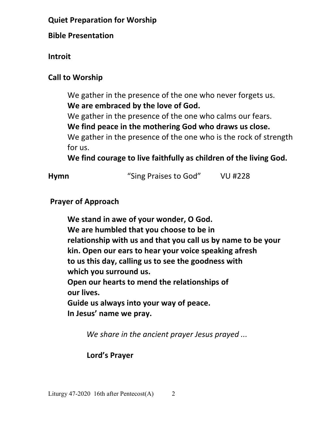# **Quiet Preparation for Worship**

**Bible Presentation** 

**Introit** 

# **Call to Worship**

 We gather in the presence of the one who never forgets us.  **We are embraced by the love of God.** 

We gather in the presence of the one who calms our fears.

 **We find peace in the mothering God who draws us close.** 

We gather in the presence of the one who is the rock of strength for us.

 **We find courage to live faithfully as children of the living God.** 

| <b>Hymn</b> | "Sing Praises to God" | <b>VU #228</b> |
|-------------|-----------------------|----------------|
|             |                       |                |

# **Prayer of Approach**

**We stand in awe of your wonder, O God. We are humbled that you choose to be in relationship with us and that you call us by name to be your kin. Open our ears to hear your voice speaking afresh to us this day, calling us to see the goodness with which you surround us. Open our hearts to mend the relationships of our lives. Guide us always into your way of peace. In Jesus' name we pray.** 

*We share in the ancient prayer Jesus prayed ...*

#### **Lord's Prayer**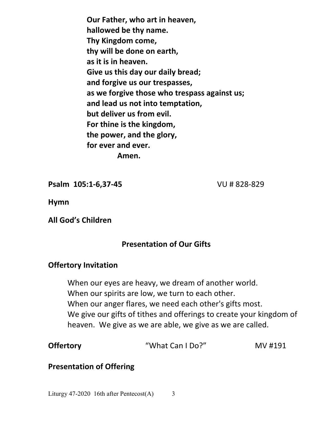**Our Father, who art in heaven, hallowed be thy name. Thy Kingdom come, thy will be done on earth, as it is in heaven. Give us this day our daily bread; and forgive us our trespasses, as we forgive those who trespass against us; and lead us not into temptation, but deliver us from evil. For thine is the kingdom, the power, and the glory, for ever and ever. Amen.** 

**Psalm 105:1-6,37-45** VU # 828-829

**Hymn**

**All God's Children** 

#### **Presentation of Our Gifts**

#### **Offertory Invitation**

 When our eyes are heavy, we dream of another world. When our spirits are low, we turn to each other. When our anger flares, we need each other's gifts most. We give our gifts of tithes and offerings to create your kingdom of heaven. We give as we are able, we give as we are called.

| <b>Offertory</b> | "What Can I Do?" | MV #191 |
|------------------|------------------|---------|
|------------------|------------------|---------|

#### **Presentation of Offering**

Liturgy 47-2020 16th after Pentecost(A) 3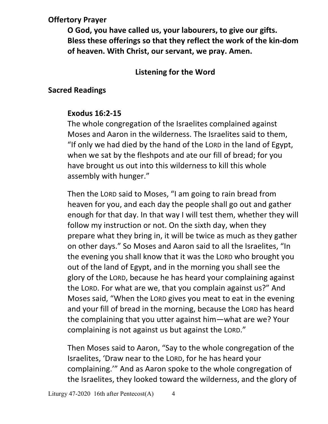# **Offertory Prayer**

**O God, you have called us, your labourers, to give our gifts. Bless these offerings so that they reflect the work of the kin-dom of heaven. With Christ, our servant, we pray. Amen.** 

# **Listening for the Word**

## **Sacred Readings**

#### **Exodus 16:2-15**

The whole congregation of the Israelites complained against Moses and Aaron in the wilderness. The Israelites said to them, "If only we had died by the hand of the LORD in the land of Egypt, when we sat by the fleshpots and ate our fill of bread; for you have brought us out into this wilderness to kill this whole assembly with hunger."

Then the LORD said to Moses, "I am going to rain bread from heaven for you, and each day the people shall go out and gather enough for that day. In that way I will test them, whether they will follow my instruction or not. On the sixth day, when they prepare what they bring in, it will be twice as much as they gather on other days." So Moses and Aaron said to all the Israelites, "In the evening you shall know that it was the LORD who brought you out of the land of Egypt, and in the morning you shall see the glory of the LORD, because he has heard your complaining against the LORD. For what are we, that you complain against us?" And Moses said, "When the LORD gives you meat to eat in the evening and your fill of bread in the morning, because the LORD has heard the complaining that you utter against him—what are we? Your complaining is not against us but against the LORD."

Then Moses said to Aaron, "Say to the whole congregation of the Israelites, 'Draw near to the LORD, for he has heard your complaining.'" And as Aaron spoke to the whole congregation of the Israelites, they looked toward the wilderness, and the glory of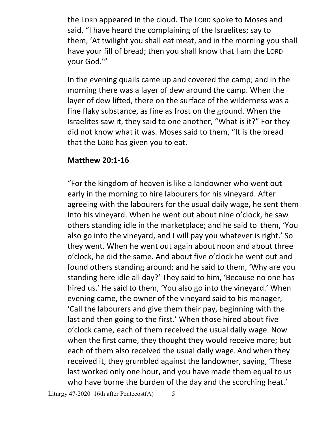the LORD appeared in the cloud. The LORD spoke to Moses and said, "I have heard the complaining of the Israelites; say to them, 'At twilight you shall eat meat, and in the morning you shall have your fill of bread; then you shall know that I am the LORD your God.'"

In the evening quails came up and covered the camp; and in the morning there was a layer of dew around the camp. When the layer of dew lifted, there on the surface of the wilderness was a fine flaky substance, as fine as frost on the ground. When the Israelites saw it, they said to one another, "What is it?" For they did not know what it was. Moses said to them, "It is the bread that the LORD has given you to eat.

#### **Matthew 20:1-16**

"For the kingdom of heaven is like a landowner who went out early in the morning to hire labourers for his vineyard. After agreeing with the labourers for the usual daily wage, he sent them into his vineyard. When he went out about nine o'clock, he saw others standing idle in the marketplace; and he said to them, 'You also go into the vineyard, and I will pay you whatever is right.' So they went. When he went out again about noon and about three o'clock, he did the same. And about five o'clock he went out and found others standing around; and he said to them, 'Why are you standing here idle all day?' They said to him, 'Because no one has hired us.' He said to them, 'You also go into the vineyard.' When evening came, the owner of the vineyard said to his manager, 'Call the labourers and give them their pay, beginning with the last and then going to the first.' When those hired about five o'clock came, each of them received the usual daily wage. Now when the first came, they thought they would receive more; but each of them also received the usual daily wage. And when they received it, they grumbled against the landowner, saying, 'These last worked only one hour, and you have made them equal to us who have borne the burden of the day and the scorching heat.'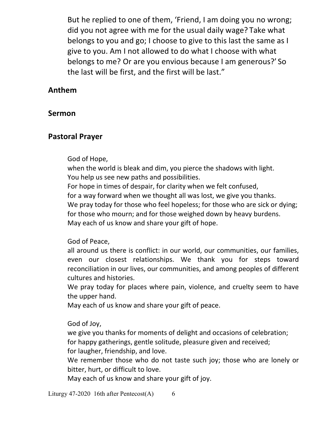But he replied to one of them, 'Friend, I am doing you no wrong; did you not agree with me for the usual daily wage? Take what belongs to you and go; I choose to give to this last the same as I give to you. Am I not allowed to do what I choose with what belongs to me? Or are you envious because I am generous?' So the last will be first, and the first will be last."

#### **Anthem**

#### **Sermon**

#### **Pastoral Prayer**

#### God of Hope,

 when the world is bleak and dim, you pierce the shadows with light. You help us see new paths and possibilities. For hope in times of despair, for clarity when we felt confused, for a way forward when we thought all was lost, we give you thanks. We pray today for those who feel hopeless; for those who are sick or dying; for those who mourn; and for those weighed down by heavy burdens. May each of us know and share your gift of hope.

#### God of Peace,

all around us there is conflict: in our world, our communities, our families, even our closest relationships. We thank you for steps toward reconciliation in our lives, our communities, and among peoples of different cultures and histories.

We pray today for places where pain, violence, and cruelty seem to have the upper hand.

May each of us know and share your gift of peace.

#### God of Joy,

 we give you thanks for moments of delight and occasions of celebration; for happy gatherings, gentle solitude, pleasure given and received;

for laugher, friendship, and love.

 We remember those who do not taste such joy; those who are lonely or bitter, hurt, or difficult to love.

May each of us know and share your gift of joy.